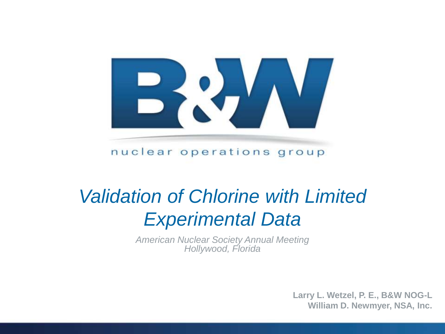

nuclear operations group

## *Validation of Chlorine with Limited Experimental Data*

*American Nuclear Society Annual Meeting Hollywood, Florida*

> **Larry L. Wetzel, P. E., B&W NOG-L William D. Newmyer, NSA, Inc.**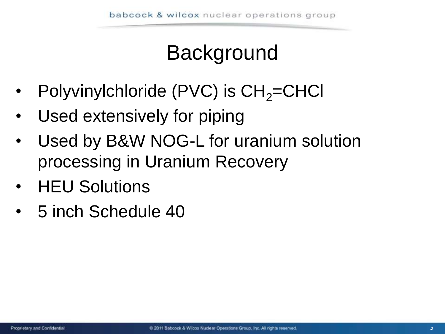# **Background**

- Polyvinylchloride (PVC) is  $CH<sub>2</sub>=CHCl$
- Used extensively for piping
- Used by B&W NOG-L for uranium solution processing in Uranium Recovery
- HEU Solutions
- 5 inch Schedule 40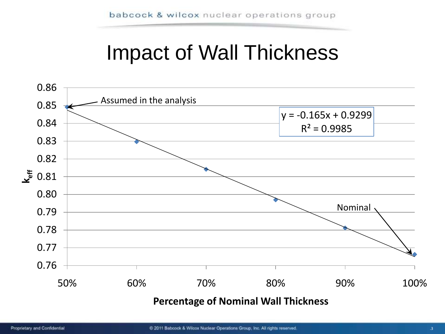#### Impact of Wall Thickness

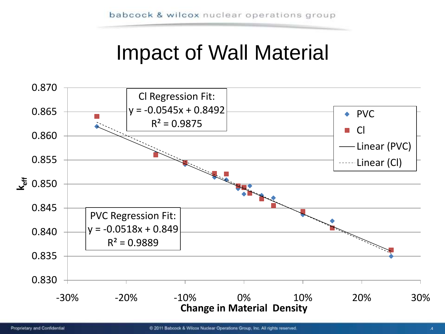### Impact of Wall Material

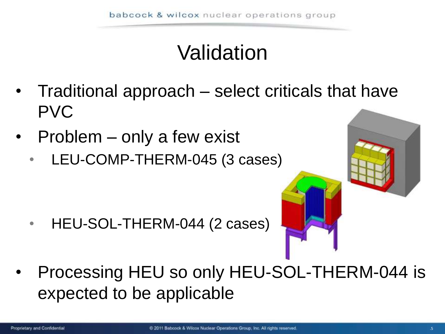# Validation

- Traditional approach select criticals that have PVC
- Problem only a few exist
	- LEU-COMP-THERM-045 (3 cases)

• HEU-SOL-THERM-044 (2 cases)



• Processing HEU so only HEU-SOL-THERM-044 is expected to be applicable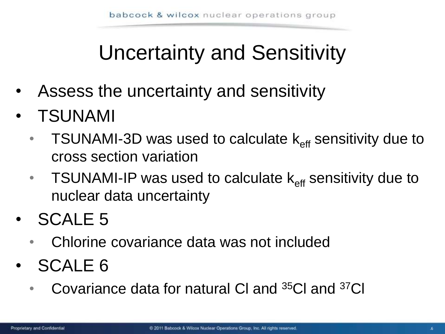# Uncertainty and Sensitivity

- Assess the uncertainty and sensitivity
- TSUNAMI
	- TSUNAMI-3D was used to calculate  $k_{\text{eff}}$  sensitivity due to cross section variation
	- TSUNAMI-IP was used to calculate  $k_{\text{eff}}$  sensitivity due to nuclear data uncertainty
- SCALE 5
	- Chlorine covariance data was not included
- SCALE 6
	- Covariance data for natural CI and <sup>35</sup>CI and <sup>37</sup>CI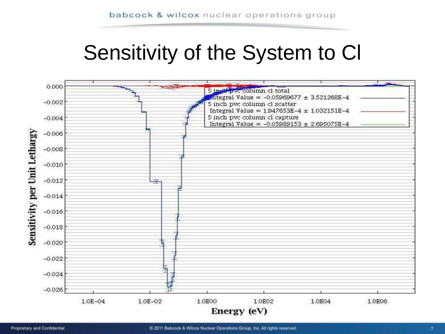### Sensitivity of the System to Cl

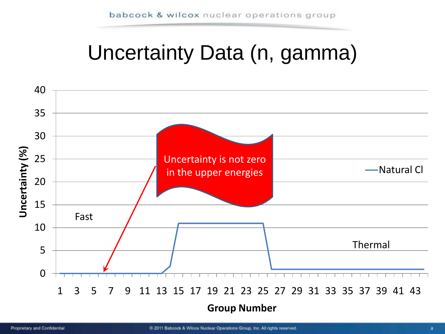### Uncertainty Data (n, gamma)

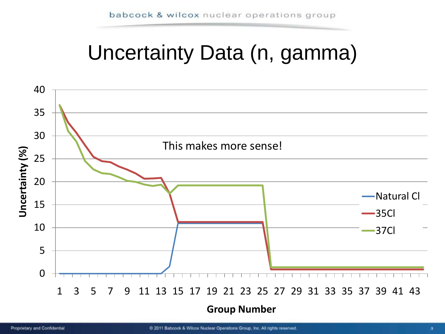## Uncertainty Data (n, gamma)

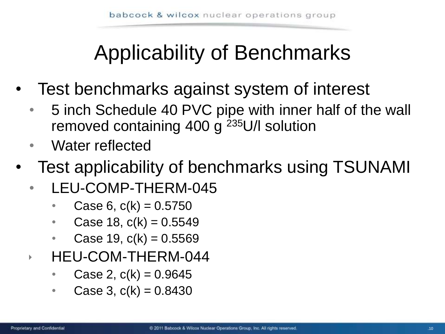# Applicability of Benchmarks

- Test benchmarks against system of interest
	- 5 inch Schedule 40 PVC pipe with inner half of the wall removed containing 400 g <sup>235</sup>U/l solution
	- Water reflected
- Test applicability of benchmarks using TSUNAMI
	- LEU-COMP-THERM-045
		- Case 6,  $c(k) = 0.5750$
		- Case 18,  $c(k) = 0.5549$
		- Case 19,  $c(k) = 0.5569$
	- HEU-COM-THERM-044
		- Case 2,  $c(k) = 0.9645$
		- Case 3,  $c(k) = 0.8430$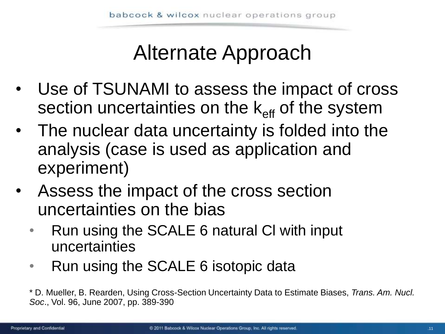## Alternate Approach

- Use of TSUNAMI to assess the impact of cross section uncertainties on the  $k_{\text{eff}}$  of the system
- The nuclear data uncertainty is folded into the analysis (case is used as application and experiment)
- Assess the impact of the cross section uncertainties on the bias
	- Run using the SCALE 6 natural Cl with input uncertainties
	- Run using the SCALE 6 isotopic data

<sup>\*</sup> D. Mueller, B. Rearden, Using Cross-Section Uncertainty Data to Estimate Biases, *Trans. Am. Nucl. Soc*., Vol. 96, June 2007, pp. 389-390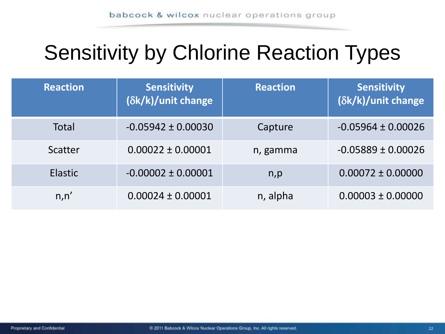## Sensitivity by Chlorine Reaction Types

| <b>Reaction</b> | <b>Sensitivity</b><br>(δk/k)/unit change | <b>Reaction</b> | <b>Sensitivity</b><br>(δk/k)/unit change |
|-----------------|------------------------------------------|-----------------|------------------------------------------|
| <b>Total</b>    | $-0.05942 \pm 0.00030$                   | Capture         | $-0.05964 \pm 0.00026$                   |
| Scatter         | $0.00022 \pm 0.00001$                    | n, gamma        | $-0.05889 \pm 0.00026$                   |
| <b>Elastic</b>  | $-0.00002 \pm 0.00001$                   | n, p            | $0.00072 \pm 0.00000$                    |
| n, n'           | $0.00024 \pm 0.00001$                    | n, alpha        | $0.00003 \pm 0.00000$                    |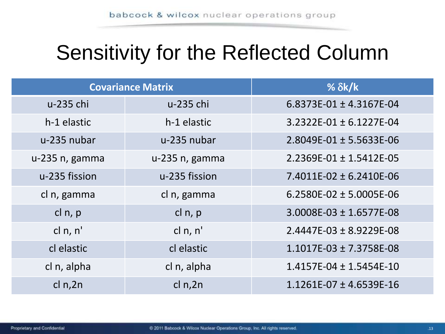### Sensitivity for the Reflected Column

| <b>Covariance Matrix</b> |                | % $\delta k/k$                  |
|--------------------------|----------------|---------------------------------|
| u-235 chi                | u-235 chi      | 6.8373E-01 $\pm$ 4.3167E-04     |
| h-1 elastic              | h-1 elastic    | $3.2322E-01 \pm 6.1227E-04$     |
| u-235 nubar              | u-235 nubar    | $2.8049E - 01 \pm 5.5633E - 06$ |
| u-235 n, gamma           | u-235 n, gamma | $2.2369E-01 \pm 1.5412E-05$     |
| u-235 fission            | u-235 fission  | $7.4011E-02 \pm 6.2410E-06$     |
| cl n, gamma              | cl n, gamma    | 6.2580E-02 $\pm$ 5.0005E-06     |
| cl n, p                  | cl n, p        | 3.0008E-03 ± 1.6577E-08         |
| cl n, n'                 | cl n, n'       | $2.4447E-03 \pm 8.9229E-08$     |
| cl elastic               | cl elastic     | $1.1017E-03 \pm 7.3758E-08$     |
| cl n, alpha              | cl n, alpha    | $1.4157E-04 \pm 1.5454E-10$     |
| cl $n, 2n$               | cl $n, 2n$     | $1.1261E-07 \pm 4.6539E-16$     |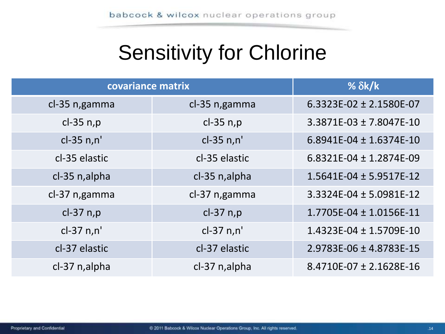## Sensitivity for Chlorine

| covariance matrix | % $\delta k/k$ |                             |
|-------------------|----------------|-----------------------------|
| cl-35 n, gamma    | cl-35 n, gamma | 6.3323E-02 $\pm$ 2.1580E-07 |
| cl-35 n,p         | $cl-35$ n,p    | $3.3871E-03 \pm 7.8047E-10$ |
| cl-35 n,n'        | $cl-35 n,n'$   | 6.8941E-04 $\pm$ 1.6374E-10 |
| cl-35 elastic     | cl-35 elastic  | 6.8321E-04 $\pm$ 1.2874E-09 |
| cl-35 n, alpha    | cl-35 n, alpha | $1.5641E-04 \pm 5.9517E-12$ |
| cl-37 n, gamma    | cl-37 n, gamma | 3.3324E-04 ± 5.0981E-12     |
| $cl-37$ n,p       | $cl-37$ n,p    | $1.7705E-04 \pm 1.0156E-11$ |
| $cl-37 n,n'$      | $cl-37 n,n'$   | $1.4323E-04 \pm 1.5709E-10$ |
| cl-37 elastic     | cl-37 elastic  | 2.9783E-06 ± 4.8783E-15     |
| cl-37 n, alpha    | cl-37 n, alpha | 8.4710E-07 ± 2.1628E-16     |